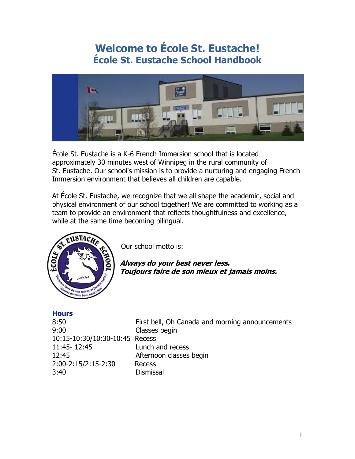# **Welcome to École St. Eustache! École St. Eustache School Handbook**



École St. Eustache is a K-6 French Immersion school that is located approximately 30 minutes west of Winnipeg in the rural community of St. Eustache. Our school's mission is to provide a nurturing and engaging French Immersion environment that believes all children are capable.

At École St. Eustache, we recognize that we all shape the academic, social and physical environment of our school together! We are committed to working as a team to provide an environment that reflects thoughtfulness and excellence, while at the same time becoming bilingual.



Our school motto is:

**Always do your best never less. Toujours faire de son mieux et jamais moins.**

### **Hours**

| 8:50<br>9:00                   | First bell, Oh Canada and morning announcements<br>Classes begin |
|--------------------------------|------------------------------------------------------------------|
| 10:15-10:30/10:30-10:45 Recess |                                                                  |
| 11:45-12:45                    | Lunch and recess                                                 |
| 12:45                          | Afternoon classes begin                                          |
| 2:00-2:15/2:15-2:30            | Recess                                                           |
| 3:40                           | <b>Dismissal</b>                                                 |
|                                |                                                                  |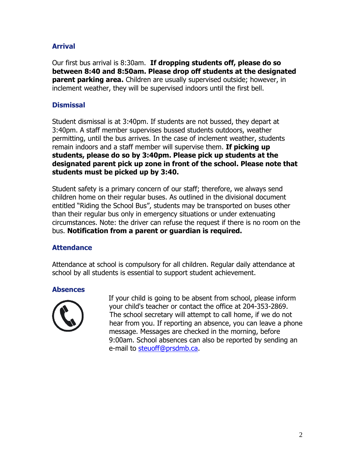# **Arrival**

Our first bus arrival is 8:30am. **If dropping students off, please do so between 8:40 and 8:50am. Please drop off students at the designated parent parking area.** Children are usually supervised outside; however, in inclement weather, they will be supervised indoors until the first bell.

# **Dismissal**

Student dismissal is at 3:40pm. If students are not bussed, they depart at 3:40pm. A staff member supervises bussed students outdoors, weather permitting, until the bus arrives. In the case of inclement weather, students remain indoors and a staff member will supervise them. **If picking up students, please do so by 3:40pm. Please pick up students at the designated parent pick up zone in front of the school. Please note that students must be picked up by 3:40.** 

Student safety is a primary concern of our staff; therefore, we always send children home on their regular buses. As outlined in the divisional document entitled "Riding the School Bus", students may be transported on buses other than their regular bus only in emergency situations or under extenuating circumstances. Note: the driver can refuse the request if there is no room on the bus. **Notification from a parent or guardian is required.** 

# **Attendance**

Attendance at school is compulsory for all children. Regular daily attendance at school by all students is essential to support student achievement.

### **Absences**



 If your child is going to be absent from school, please inform your child's teacher or contact the office at 204-353-2869. The school secretary will attempt to call home, if we do not hear from you. If reporting an absence, you can leave a phone message. Messages are checked in the morning, before 9:00am. School absences can also be reported by sending an e-mail to [steuoff@prsdmb.ca.](mailto:steuoff@prsdmb.ca)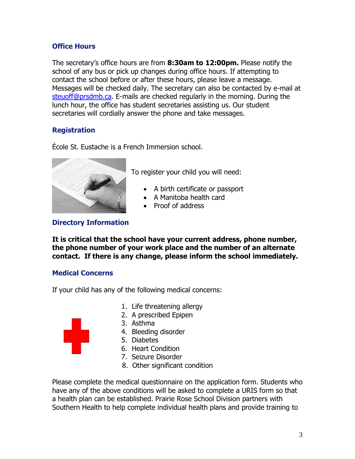# **Office Hours**

The secretary's office hours are from **8:30am to 12:00pm.** Please notify the school of any bus or pick up changes during office hours. If attempting to contact the school before or after these hours, please leave a message. Messages will be checked daily. The secretary can also be contacted by e-mail at [steuoff@prsdmb.ca.](mailto:steuoff@prsdmb.ca) E-mails are checked regularly in the morning. During the lunch hour, the office has student secretaries assisting us. Our student secretaries will cordially answer the phone and take messages.

# **Registration**

École St. Eustache is a French Immersion school.



To register your child you will need:

- A birth certificate or passport
- A Manitoba health card
- Proof of address

# **Directory Information**

**It is critical that the school have your current address, phone number, the phone number of your work place and the number of an alternate contact. If there is any change, please inform the school immediately.**

# **Medical Concerns**

If your child has any of the following medical concerns:

- 1. Life threatening allergy
- 2. A prescribed Epipen
- 3. Asthma
- 4. Bleeding disorder
- 5. Diabetes
- 6. Heart Condition
- 7. Seizure Disorder
- 8. Other significant condition

Please complete the medical questionnaire on the application form. Students who have any of the above conditions will be asked to complete a URIS form so that a health plan can be established. Prairie Rose School Division partners with Southern Health to help complete individual health plans and provide training to

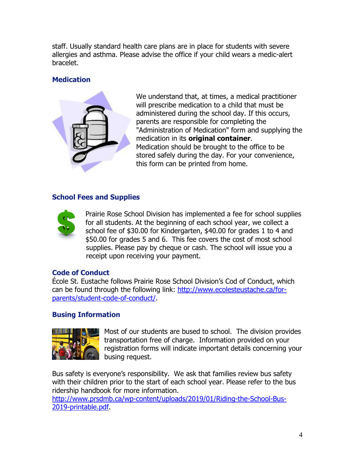staff. Usually standard health care plans are in place for students with severe allergies and asthma. Please advise the office if your child wears a medic-alert bracelet.

# **Medication**



We understand that, at times, a medical practitioner will prescribe medication to a child that must be administered during the school day. If this occurs, parents are responsible for completing the "Administration of Medication" form and supplying the medication in its **original container**. Medication should be brought to the office to be stored safely during the day. For your convenience, this form can be printed from home.

# **School Fees and Supplies**



Prairie Rose School Division has implemented a fee for school supplies for all students. At the beginning of each school year, we collect a school fee of \$30.00 for Kindergarten, \$40.00 for grades 1 to 4 and \$50.00 for grades 5 and 6. This fee covers the cost of most school supplies. Please pay by cheque or cash. The school will issue you a receipt upon receiving your payment.

# **Code of Conduct**

École St. Eustache follows Prairie Rose School Division's Cod of Conduct, which can be found through the following link: [http://www.ecolesteustache.ca/for](http://www.ecolesteustache.ca/for-parents/student-code-of-conduct/)[parents/student-code-of-conduct/.](http://www.ecolesteustache.ca/for-parents/student-code-of-conduct/)

# **Busing Information**



Most of our students are bused to school. The division provides transportation free of charge. Information provided on your registration forms will indicate important details concerning your busing request.

Bus safety is everyone's responsibility. We ask that families review bus safety with their children prior to the start of each school year. Please refer to the bus ridership handbook for more information.

[http://www.prsdmb.ca/wp-content/uploads/2019/01/Riding-the-School-Bus-](http://www.prsdmb.ca/wp-content/uploads/2019/01/Riding-the-School-Bus-2019-printable.pdf)[2019-printable.pdf.](http://www.prsdmb.ca/wp-content/uploads/2019/01/Riding-the-School-Bus-2019-printable.pdf)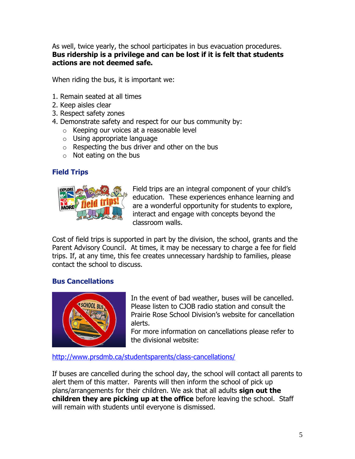As well, twice yearly, the school participates in bus evacuation procedures. **Bus ridership is a privilege and can be lost if it is felt that students actions are not deemed safe.**

When riding the bus, it is important we:

- 1. Remain seated at all times
- 2. Keep aisles clear
- 3. Respect safety zones
- 4. Demonstrate safety and respect for our bus community by:
	- o Keeping our voices at a reasonable level
	- o Using appropriate language
	- $\circ$  Respecting the bus driver and other on the bus
	- $\circ$  Not eating on the bus

# **Field Trips**



Field trips are an integral component of your child's education. These experiences enhance learning and are a wonderful opportunity for students to explore, interact and engage with concepts beyond the classroom walls.

Cost of field trips is supported in part by the division, the school, grants and the Parent Advisory Council. At times, it may be necessary to charge a fee for field trips. If, at any time, this fee creates unnecessary hardship to families, please contact the school to discuss.

# **Bus Cancellations**



In the event of bad weather, buses will be cancelled. Please listen to CJOB radio station and consult the Prairie Rose School Division's website for cancellation alerts.

For more information on cancellations please refer to the divisional website:

<http://www.prsdmb.ca/studentsparents/class-cancellations/>

If buses are cancelled during the school day, the school will contact all parents to alert them of this matter. Parents will then inform the school of pick up plans/arrangements for their children. We ask that all adults **sign out the children they are picking up at the office** before leaving the school. Staff will remain with students until everyone is dismissed.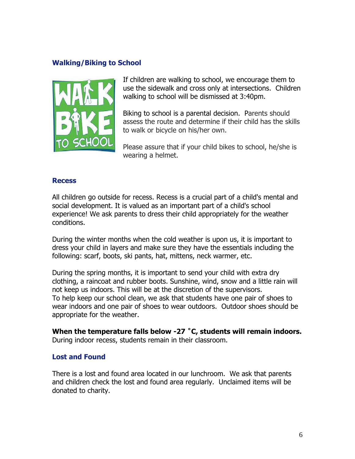### **Walking/Biking to School**



If children are walking to school, we encourage them to use the sidewalk and cross only at intersections. Children walking to school will be dismissed at 3:40pm.

Biking to school is a parental decision. Parents should assess the route and determine if their child has the skills to walk or bicycle on his/her own.

Please assure that if your child bikes to school, he/she is wearing a helmet.

#### **Recess**

All children go outside for recess. Recess is a crucial part of a child's mental and social development. It is valued as an important part of a child's school experience! We ask parents to dress their child appropriately for the weather conditions.

During the winter months when the cold weather is upon us, it is important to dress your child in layers and make sure they have the essentials including the following: scarf, boots, ski pants, hat, mittens, neck warmer, etc.

During the spring months, it is important to send your child with extra dry clothing, a raincoat and rubber boots. Sunshine, wind, snow and a little rain will not keep us indoors. This will be at the discretion of the supervisors. To help keep our school clean, we ask that students have one pair of shoes to wear indoors and one pair of shoes to wear outdoors. Outdoor shoes should be appropriate for the weather.

**When the temperature falls below -27 ˚C, students will remain indoors.**  During indoor recess, students remain in their classroom.

#### **Lost and Found**

There is a lost and found area located in our lunchroom. We ask that parents and children check the lost and found area regularly. Unclaimed items will be donated to charity.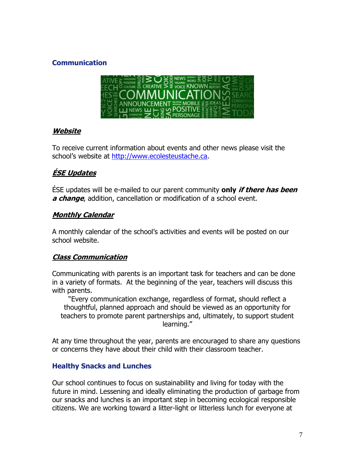# **Communication**



# **Website**

To receive current information about events and other news please visit the school's website at [http://www.ecolesteustache.ca.](http://www.ecolesteustache.ca/)

# **ÉSE Updates**

ÉSE updates will be e-mailed to our parent community **only if there has been a change**, addition, cancellation or modification of a school event.

# **Monthly Calendar**

A monthly calendar of the school's activities and events will be posted on our school website.

# **Class Communication**

Communicating with parents is an important task for teachers and can be done in a variety of formats. At the beginning of the year, teachers will discuss this with parents.

"Every communication exchange, regardless of format, should reflect a thoughtful, planned approach and should be viewed as an opportunity for teachers to promote parent partnerships and, ultimately, to support student learning."

At any time throughout the year, parents are encouraged to share any questions or concerns they have about their child with their classroom teacher.

# **Healthy Snacks and Lunches**

Our school continues to focus on sustainability and living for today with the future in mind. Lessening and ideally eliminating the production of garbage from our snacks and lunches is an important step in becoming ecological responsible citizens. We are working toward a litter-light or litterless lunch for everyone at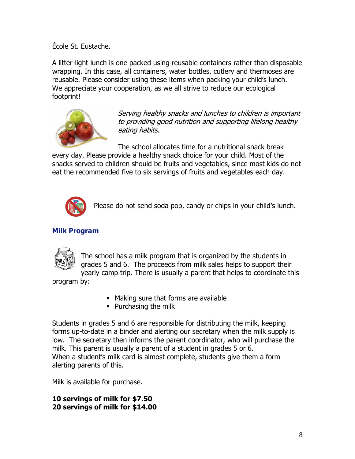École St. Eustache.

A litter-light lunch is one packed using reusable containers rather than disposable wrapping. In this case, all containers, water bottles, cutlery and thermoses are reusable. Please consider using these items when packing your child's lunch. We appreciate your cooperation, as we all strive to reduce our ecological footprint!



Serving healthy snacks and lunches to children is important to providing good nutrition and supporting lifelong healthy eating habits.

The school allocates time for a nutritional snack break

every day. Please provide a healthy snack choice for your child. Most of the snacks served to children should be fruits and vegetables, since most kids do not eat the recommended five to six servings of fruits and vegetables each day.



Please do not send soda pop, candy or chips in your child's lunch.

# **Milk Program**



The school has a milk program that is organized by the students in grades 5 and 6. The proceeds from milk sales helps to support their yearly camp trip. There is usually a parent that helps to coordinate this

program by:

- Making sure that forms are available
- Purchasing the milk

Students in grades 5 and 6 are responsible for distributing the milk, keeping forms up-to-date in a binder and alerting our secretary when the milk supply is low. The secretary then informs the parent coordinator, who will purchase the milk. This parent is usually a parent of a student in grades 5 or 6. When a student's milk card is almost complete, students give them a form alerting parents of this.

Milk is available for purchase.

**10 servings of milk for \$7.50 20 servings of milk for \$14.00**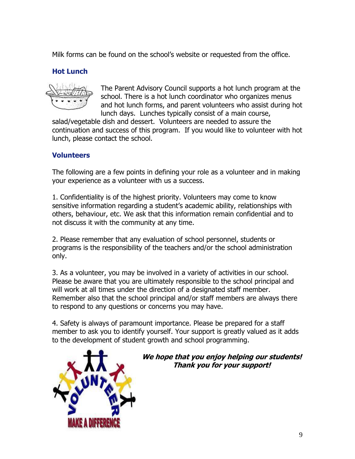Milk forms can be found on the school's website or requested from the office.

# **Hot Lunch**



The Parent Advisory Council supports a hot lunch program at the school. There is a hot lunch coordinator who organizes menus and hot lunch forms, and parent volunteers who assist during hot lunch days. Lunches typically consist of a main course,

salad/vegetable dish and dessert. Volunteers are needed to assure the continuation and success of this program. If you would like to volunteer with hot lunch, please contact the school.

# **Volunteers**

The following are a few points in defining your role as a volunteer and in making your experience as a volunteer with us a success.

1. Confidentiality is of the highest priority. Volunteers may come to know sensitive information regarding a student's academic ability, relationships with others, behaviour, etc. We ask that this information remain confidential and to not discuss it with the community at any time.

2. Please remember that any evaluation of school personnel, students or programs is the responsibility of the teachers and/or the school administration only.

3. As a volunteer, you may be involved in a variety of activities in our school. Please be aware that you are ultimately responsible to the school principal and will work at all times under the direction of a designated staff member. Remember also that the school principal and/or staff members are always there to respond to any questions or concerns you may have.

4. Safety is always of paramount importance. Please be prepared for a staff member to ask you to identify yourself. Your support is greatly valued as it adds to the development of student growth and school programming.



**We hope that you enjoy helping our students! Thank you for your support!**